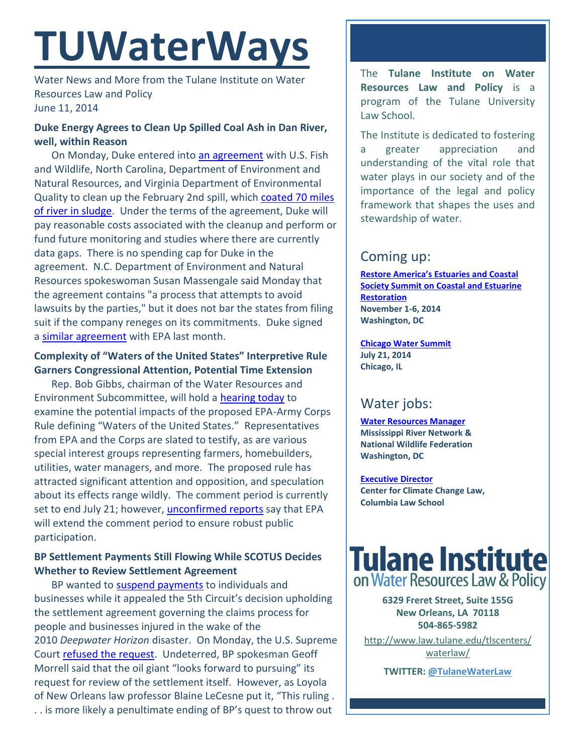# **TUWaterWays**

Water News and More from the Tulane Institute on Water Resources Law and Policy June 11, 2014

## **Duke Energy Agrees to Clean Up Spilled Coal Ash in Dan River, well, within Reason**

On Monday, Duke entered into [an agreement](http://www.duke-energy.com/pdfs/DanRiver_FundingandParticipationAgreement-June2014.pdf) with U.S. Fish and Wildlife, North Carolina, Department of Environment and Natural Resources, and Virginia Department of Environmental Quality to clean up the February 2nd spill, which [coated 70 miles](http://www.usnews.com/news/business/articles/2014/06/09/nc-va-sign-deal-with-duke-for-dan-river-cleanup)  [of river in sludge.](http://www.usnews.com/news/business/articles/2014/06/09/nc-va-sign-deal-with-duke-for-dan-river-cleanup) Under the terms of the agreement, Duke will pay reasonable costs associated with the cleanup and perform or fund future monitoring and studies where there are currently data gaps. There is no spending cap for Duke in the agreement. N.C. Department of Environment and Natural Resources spokeswoman Susan Massengale said Monday that the agreement contains "a process that attempts to avoid lawsuits by the parties," but it does not bar the states from filing suit if the company reneges on its commitments. Duke signed a [similar agreement](http://www.duke-energy.com/pdfs/Duke_EPA_Agreement.pdf) with EPA last month.

## **Complexity of "Waters of the United States" Interpretive Rule Garners Congressional Attention, Potential Time Extension**

Rep. Bob Gibbs, chairman of the Water Resources and Environment Subcommittee, will hold a [hearing today](http://transportation.house.gov/calendar/eventsingle.aspx?EventID=378392) to examine the potential impacts of the proposed EPA-Army Corps Rule defining "Waters of the United States." Representatives from EPA and the Corps are slated to testify, as are various special interest groups representing farmers, homebuilders, utilities, water managers, and more. The proposed rule has attracted significant attention and opposition, and speculation about its effects range wildly. The comment period is currently set to end July 21; however, [unconfirmed](http://www.eenews.net/eedaily/2014/06/10/stories/1060000997) reports say that EPA will extend the comment period to ensure robust public participation.

# **BP Settlement Payments Still Flowing While SCOTUS Decides Whether to Review Settlement Agreement**

BP wanted to [suspend payments](http://www.nola.com/business/index.ssf/2014/06/supreme_court_refuses_to_stop.html#incart_m-rpt-1) to individuals and businesses while it appealed the 5th Circuit's decision upholding the settlement agreement governing the claims process for people and businesses injured in the wake of the 2010 *Deepwater Horizon* disaster. On Monday, the U.S. Supreme Court [refused the request.](http://sblog.s3.amazonaws.com/wp-content/uploads/2014/06/BP-order-6-9-14.pdf) Undeterred, BP spokesman Geoff Morrell said that the oil giant "looks forward to pursuing" its request for review of the settlement itself. However, as Loyola of New Orleans law professor Blaine LeCesne put it, "This ruling . . . is more likely a penultimate ending of BP's quest to throw out

The **Tulane Institute on Water Resources Law and Policy** is a program of the Tulane University Law School.

The Institute is dedicated to fostering a greater appreciation and understanding of the vital role that water plays in our society and of the importance of the legal and policy framework that shapes the uses and stewardship of water.

# Coming up:

**[Restore America's Estuaries and Coastal](http://r20.rs6.net/tn.jsp?f=0012iufhQITsCGpmic7Nj0W1INi8-6h80uescyOvfS_bUMX-e_StguS58p5EHh6nRgEmQNhq-IEmHfNI66r1WLUI1nmVYTd3If6B4-ZKjflPH2cZPZ528UxKk004cWieAbuKn8kMmuGt7xkzSf_c1RUYplspmEGAxwxZCHUx7hzNHc=&c=3B5vsP5Gpxft541Pxo12cjeRrFLjmc8b5erclL2Atj1KAgmybibFyw==&ch=lOjBhN14duvjTvW9T_cXNaf8o7Y3dN3YSL3BBwkYtqxDV6sYZHStiA==)  [Society Summit on Coastal and Estuarine](http://r20.rs6.net/tn.jsp?f=0012iufhQITsCGpmic7Nj0W1INi8-6h80uescyOvfS_bUMX-e_StguS58p5EHh6nRgEmQNhq-IEmHfNI66r1WLUI1nmVYTd3If6B4-ZKjflPH2cZPZ528UxKk004cWieAbuKn8kMmuGt7xkzSf_c1RUYplspmEGAxwxZCHUx7hzNHc=&c=3B5vsP5Gpxft541Pxo12cjeRrFLjmc8b5erclL2Atj1KAgmybibFyw==&ch=lOjBhN14duvjTvW9T_cXNaf8o7Y3dN3YSL3BBwkYtqxDV6sYZHStiA==)  [Restoration](http://r20.rs6.net/tn.jsp?f=0012iufhQITsCGpmic7Nj0W1INi8-6h80uescyOvfS_bUMX-e_StguS58p5EHh6nRgEmQNhq-IEmHfNI66r1WLUI1nmVYTd3If6B4-ZKjflPH2cZPZ528UxKk004cWieAbuKn8kMmuGt7xkzSf_c1RUYplspmEGAxwxZCHUx7hzNHc=&c=3B5vsP5Gpxft541Pxo12cjeRrFLjmc8b5erclL2Atj1KAgmybibFyw==&ch=lOjBhN14duvjTvW9T_cXNaf8o7Y3dN3YSL3BBwkYtqxDV6sYZHStiA==) November 1-6, 2014 Washington, DC**

**[Chicago Water Summit](https://www.e-wef.org/Default.aspx?TabID=1356&productId=36803764) July 21, 2014 Chicago, IL**

# Water jobs:

**[Water Resources Manager](http://www.nwf.org/How-to-Help/Jobs-at-NWF/Search-Openings.aspx) Mississippi River Network & National Wildlife Federation Washington, DC**

**[Executive Director](http://web.law.columbia.edu/sites/default/files/microsites/climate-change/cccl_executive_director_job_announcement_east_67404472_1.pdf) Center for Climate Change Law, Columbia Law School**



**6329 Freret Street, Suite 155G New Orleans, LA 70118 504-865-5982** 

[http://www.law.tulane.edu/tlscenters/](http://www.law.tulane.edu/tlscenters/waterlaw/) [waterlaw/](http://www.law.tulane.edu/tlscenters/waterlaw/)

**TWITTER[: @TulaneWaterLaw](http://www.twitter.com/TulaneWaterLaw)**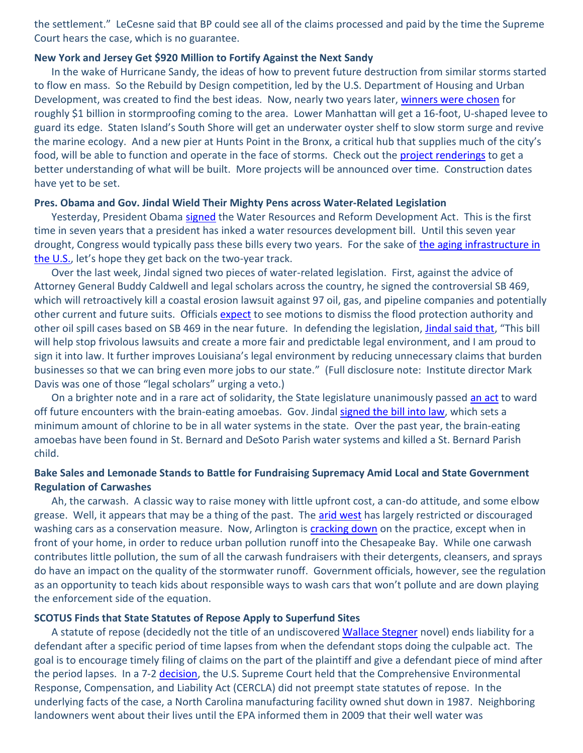the settlement." LeCesne said that BP could see all of the claims processed and paid by the time the Supreme Court hears the case, which is no guarantee.

#### **New York and Jersey Get \$920 Million to Fortify Against the Next Sandy**

In the wake of Hurricane Sandy, the ideas of how to prevent future destruction from similar storms started to flow en mass. So the Rebuild by Design competition, led by the U.S. Department of Housing and Urban Development, was created to find the best ideas. Now, nearly two years later, [winners were chosen](http://portal.hud.gov/hudportal/HUD?src=/press/press_releases_media_advisories/2014/HUDNo_14-063) for roughly \$1 billion in stormproofing coming to the area. Lower Manhattan will get a 16-foot, U-shaped levee to guard its edge. Staten Island's South Shore will get an underwater oyster shelf to slow storm surge and revive the marine ecology. And a new pier at Hunts Point in the Bronx, a critical hub that supplies much of the city's food, will be able to function and operate in the face of storms. Check out the [project renderings](http://www.gizmodo.in/news/NYC-Is-Actually-Building-These-Radical-Storm-Proofing-Systems/articleshow/36065206.cms) to get a better understanding of what will be built. More projects will be announced over time. Construction dates have yet to be set.

#### **Pres. Obama and Gov. Jindal Wield Their Mighty Pens across Water-Related Legislation**

Yesterday, President Obama [signed](http://www.whitehouse.gov/the-press-office/2014/06/10/remarks-president-signing-water-resources-reform-and-development-act-and) the Water Resources and Reform Development Act. This is the first time in seven years that a president has inked a water resources development bill. Until this seven year drought, Congress would typically pass these bills every two years. For the sake of [the aging infrastructure in](http://www.infrastructurereportcard.org/)  [the U.S.](http://www.infrastructurereportcard.org/), let's hope they get back on the two-year track.

Over the last week, Jindal signed two pieces of water-related legislation. First, against the advice of Attorney General Buddy Caldwell and legal scholars across the country, he signed the controversial SB 469, which will retroactively kill a coastal erosion lawsuit against 97 oil, gas, and pipeline companies and potentially other current and future suits. Officials [expect](http://www.theneworleansadvocate.com/news/9383128-171/jindal-signs-bill-that-would) to see motions to dismiss the flood protection authority and other oil spill cases based on SB 469 in the near future. In defending the legislation, [Jindal said that](http://gov.louisiana.gov/index.cfm?md=newsroom&tmp=detail&articleID=4566), "This bill will help stop frivolous lawsuits and create a more fair and predictable legal environment, and I am proud to sign it into law. It further improves Louisiana's legal environment by reducing unnecessary claims that burden businesses so that we can bring even more jobs to our state." (Full disclosure note: Institute director Mark Davis was one of those "legal scholars" urging a veto.)

On a brighter note and in a rare act of solidarity, the State legislature unanimously passed [an act](http://www.legis.la.gov/legis/ViewDocument.aspx?d=910133&n=SB75%20Enrolled) to ward off future encounters with the brain-eating amoebas. Gov. Jindal [signed the bill into law,](http://www.nola.com/politics/index.ssf/2014/06/bobby_jindal_brain-eating_amoe.html#incart_m-rpt-1) which sets a minimum amount of chlorine to be in all water systems in the state. Over the past year, the brain-eating amoebas have been found in St. Bernard and DeSoto Parish water systems and killed a St. Bernard Parish child.

### **Bake Sales and Lemonade Stands to Battle for Fundraising Supremacy Amid Local and State Government Regulation of Carwashes**

Ah, the carwash. A classic way to raise money with little upfront cost, a can-do attitude, and some elbow grease. Well, it appears that may be a thing of the past. The [arid west](http://www.mohavedailynews.com/news/drastic-times-require-drastic-measures/article_a225c342-da6d-11e3-9502-0019bb2963f4.html) has largely restricted or discouraged washing cars as a conservation measure. Now, Arlington is [cracking down](http://www.washingtonpost.com/local/education/arlington-cracks-down-on-carwash-fundraisers/2014/06/08/987f08b2-e832-11e3-8f90-73e071f3d637_story.html?tid=hpModule_99d5f542-86a2-11e2-9d71-f0feafdd1394) on the practice, except when in front of your home, in order to reduce urban pollution runoff into the Chesapeake Bay. While one carwash contributes little pollution, the sum of all the carwash fundraisers with their detergents, cleansers, and sprays do have an impact on the quality of the stormwater runoff. Government officials, however, see the regulation as an opportunity to teach kids about responsible ways to wash cars that won't pollute and are down playing the enforcement side of the equation.

#### **SCOTUS Finds that State Statutes of Repose Apply to Superfund Sites**

A statute of repose (decidedly not the title of an undiscovere[d Wallace Stegner](http://en.wikipedia.org/wiki/Angle_of_Repose_(novel)) novel) ends liability for a defendant after a specific period of time lapses from when the defendant stops doing the culpable act. The goal is to encourage timely filing of claims on the part of the plaintiff and give a defendant piece of mind after the period lapses. In a 7-2 [decision,](http://www.supremecourt.gov/opinions/13pdf/13-339_886a.pdf) the U.S. Supreme Court held that the Comprehensive Environmental Response, Compensation, and Liability Act (CERCLA) did not preempt state statutes of repose. In the underlying facts of the case, a North Carolina manufacturing facility owned shut down in 1987. Neighboring landowners went about their lives until the EPA informed them in 2009 that their well water was